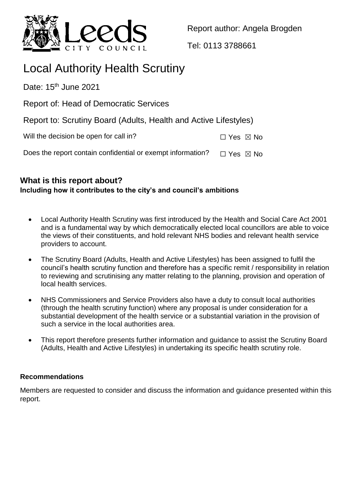

Report author: Angela Brogden

Tel: 0113 3788661

# Local Authority Health Scrutiny

Date:  $15<sup>th</sup>$  June 2021

Report of: Head of Democratic Services

Report to: Scrutiny Board (Adults, Health and Active Lifestyles)

| $\Box$ Yes $\boxtimes$ No |  |
|---------------------------|--|
|                           |  |

Does the report contain confidential or exempt information?  $\Box$  Yes  $\boxtimes$  No

## **What is this report about? Including how it contributes to the city's and council's ambitions**

- Local Authority Health Scrutiny was first introduced by the Health and Social Care Act 2001 and is a fundamental way by which democratically elected local councillors are able to voice the views of their constituents, and hold relevant NHS bodies and relevant health service providers to account.
- The Scrutiny Board (Adults, Health and Active Lifestyles) has been assigned to fulfil the council's health scrutiny function and therefore has a specific remit / responsibility in relation to reviewing and scrutinising any matter relating to the planning, provision and operation of local health services.
- NHS Commissioners and Service Providers also have a duty to consult local authorities (through the health scrutiny function) where any proposal is under consideration for a substantial development of the health service or a substantial variation in the provision of such a service in the local authorities area.
- This report therefore presents further information and guidance to assist the Scrutiny Board (Adults, Health and Active Lifestyles) in undertaking its specific health scrutiny role.

# **Recommendations**

Members are requested to consider and discuss the information and guidance presented within this report.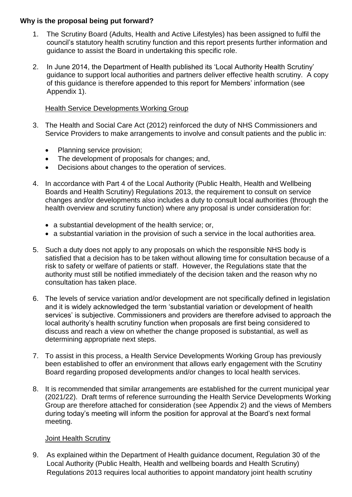### **Why is the proposal being put forward?**

- 1. The Scrutiny Board (Adults, Health and Active Lifestyles) has been assigned to fulfil the council's statutory health scrutiny function and this report presents further information and guidance to assist the Board in undertaking this specific role.
- 2. In June 2014, the Department of Health published its 'Local Authority Health Scrutiny' guidance to support local authorities and partners deliver effective health scrutiny. A copy of this guidance is therefore appended to this report for Members' information (see Appendix 1).

## Health Service Developments Working Group

- 3. The Health and Social Care Act (2012) reinforced the duty of NHS Commissioners and Service Providers to make arrangements to involve and consult patients and the public in:
	- Planning service provision;
	- The development of proposals for changes; and,
	- Decisions about changes to the operation of services.
- 4. In accordance with Part 4 of the Local Authority (Public Health, Health and Wellbeing Boards and Health Scrutiny) Regulations 2013, the requirement to consult on service changes and/or developments also includes a duty to consult local authorities (through the health overview and scrutiny function) where any proposal is under consideration for:
	- a substantial development of the health service; or,
	- a substantial variation in the provision of such a service in the local authorities area.
- 5. Such a duty does not apply to any proposals on which the responsible NHS body is satisfied that a decision has to be taken without allowing time for consultation because of a risk to safety or welfare of patients or staff. However, the Regulations state that the authority must still be notified immediately of the decision taken and the reason why no consultation has taken place.
- 6. The levels of service variation and/or development are not specifically defined in legislation and it is widely acknowledged the term 'substantial variation or development of health services' is subjective. Commissioners and providers are therefore advised to approach the local authority's health scrutiny function when proposals are first being considered to discuss and reach a view on whether the change proposed is substantial, as well as determining appropriate next steps.
- 7. To assist in this process, a Health Service Developments Working Group has previously been established to offer an environment that allows early engagement with the Scrutiny Board regarding proposed developments and/or changes to local health services.
- 8. It is recommended that similar arrangements are established for the current municipal year (2021/22). Draft terms of reference surrounding the Health Service Developments Working Group are therefore attached for consideration (see Appendix 2) and the views of Members during today's meeting will inform the position for approval at the Board's next formal meeting.

## Joint Health Scrutiny

9. As explained within the Department of Health guidance document, Regulation 30 of the Local Authority (Public Health, Health and wellbeing boards and Health Scrutiny) Regulations 2013 requires local authorities to appoint mandatory joint health scrutiny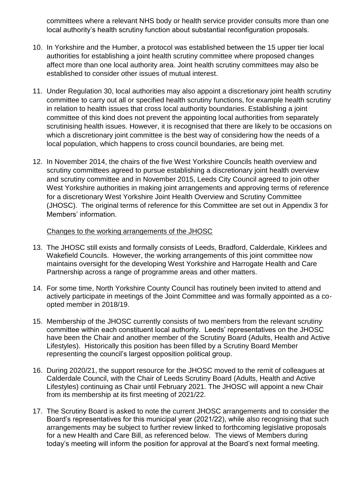committees where a relevant NHS body or health service provider consults more than one local authority's health scrutiny function about substantial reconfiguration proposals.

- 10. In Yorkshire and the Humber, a protocol was established between the 15 upper tier local authorities for establishing a joint health scrutiny committee where proposed changes affect more than one local authority area. Joint health scrutiny committees may also be established to consider other issues of mutual interest.
- 11. Under Regulation 30, local authorities may also appoint a discretionary joint health scrutiny committee to carry out all or specified health scrutiny functions, for example health scrutiny in relation to health issues that cross local authority boundaries. Establishing a joint committee of this kind does not prevent the appointing local authorities from separately scrutinising health issues. However, it is recognised that there are likely to be occasions on which a discretionary joint committee is the best way of considering how the needs of a local population, which happens to cross council boundaries, are being met.
- 12. In November 2014, the chairs of the five West Yorkshire Councils health overview and scrutiny committees agreed to pursue establishing a discretionary joint health overview and scrutiny committee and in November 2015, Leeds City Council agreed to join other West Yorkshire authorities in making joint arrangements and approving terms of reference for a discretionary West Yorkshire Joint Health Overview and Scrutiny Committee (JHOSC). The original terms of reference for this Committee are set out in Appendix 3 for Members' information.

#### Changes to the working arrangements of the JHOSC

- 13. The JHOSC still exists and formally consists of Leeds, Bradford, Calderdale, Kirklees and Wakefield Councils. However, the working arrangements of this joint committee now maintains oversight for the developing West Yorkshire and Harrogate Health and Care Partnership across a range of programme areas and other matters.
- 14. For some time, North Yorkshire County Council has routinely been invited to attend and actively participate in meetings of the Joint Committee and was formally appointed as a coopted member in 2018/19.
- 15. Membership of the JHOSC currently consists of two members from the relevant scrutiny committee within each constituent local authority. Leeds' representatives on the JHOSC have been the Chair and another member of the Scrutiny Board (Adults, Health and Active Lifestyles). Historically this position has been filled by a Scrutiny Board Member representing the council's largest opposition political group.
- 16. During 2020/21, the support resource for the JHOSC moved to the remit of colleagues at [Calderdale Council,](https://www.calderdale.gov.uk/council/councillors/councilmeetings/query.jsp) with the Chair of Leeds Scrutiny Board (Adults, Health and Active Lifestyles) continuing as Chair until February 2021. The JHOSC will appoint a new Chair from its membership at its first meeting of 2021/22.
- 17. The Scrutiny Board is asked to note the current JHOSC arrangements and to consider the Board's representatives for this municipal year (2021/22), while also recognising that such arrangements may be subject to further review linked to forthcoming legislative proposals for a new Health and Care Bill, as referenced below. The views of Members during today's meeting will inform the position for approval at the Board's next formal meeting.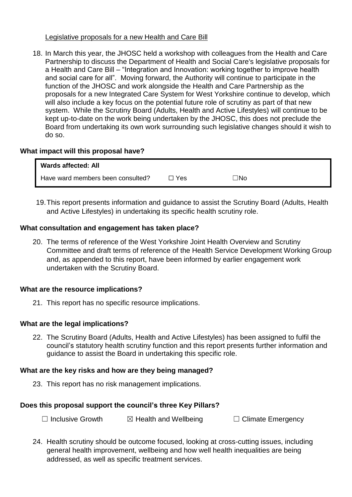#### Legislative proposals for a new Health and Care Bill

18. In March this year, the JHOSC held a workshop with colleagues from the Health and Care Partnership to discuss the Department of Health and Social Care's legislative proposals for a Health and Care Bill – "Integration and Innovation: working together to improve health and social care for all". Moving forward, the Authority will continue to participate in the function of the JHOSC and work alongside the Health and Care Partnership as the proposals for a new Integrated Care System for West Yorkshire continue to develop, which will also include a key focus on the potential future role of scrutiny as part of that new system. While the Scrutiny Board (Adults, Health and Active Lifestyles) will continue to be kept up-to-date on the work being undertaken by the JHOSC, this does not preclude the Board from undertaking its own work surrounding such legislative changes should it wish to do so.

## **What impact will this proposal have?**

| Wards affected: All               |       |           |
|-----------------------------------|-------|-----------|
| Have ward members been consulted? | □ Yes | $\Box$ No |

19.This report presents information and guidance to assist the Scrutiny Board (Adults, Health and Active Lifestyles) in undertaking its specific health scrutiny role.

#### **What consultation and engagement has taken place?**

20. The terms of reference of the West Yorkshire Joint Health Overview and Scrutiny Committee and draft terms of reference of the Health Service Development Working Group and, as appended to this report, have been informed by earlier engagement work undertaken with the Scrutiny Board.

#### **What are the resource implications?**

21. This report has no specific resource implications.

## **What are the legal implications?**

22. The Scrutiny Board (Adults, Health and Active Lifestyles) has been assigned to fulfil the council's statutory health scrutiny function and this report presents further information and guidance to assist the Board in undertaking this specific role.

#### **What are the key risks and how are they being managed?**

23. This report has no risk management implications.

#### **Does this proposal support the council's three Key Pillars?**

☐ Inclusive Growth ☒ Health and Wellbeing ☐ Climate Emergency

24. Health scrutiny should be outcome focused, looking at cross-cutting issues, including general health improvement, wellbeing and how well health inequalities are being addressed, as well as specific treatment services.